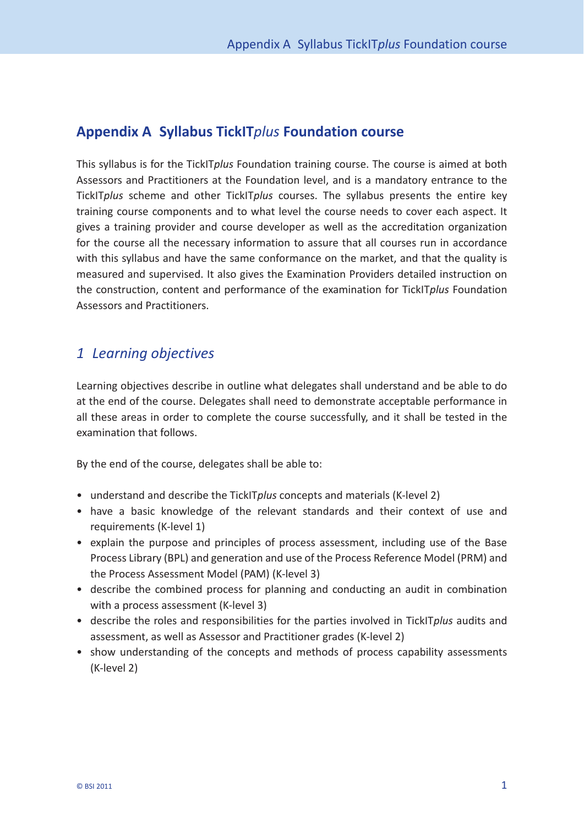## **Appendix A Syllabus TickIT***plus* **Foundation course**

This syllabus is for the TickIT*plus* Foundation training course. The course is aimed at both Assessors and Practitioners at the Foundation level, and is a mandatory entrance to the TickIT*plus* scheme and other TickIT*plus* courses. The syllabus presents the entire key training course components and to what level the course needs to cover each aspect. It gives a training provider and course developer as well as the accreditation organization for the course all the necessary information to assure that all courses run in accordance with this syllabus and have the same conformance on the market, and that the quality is measured and supervised. It also gives the Examination Providers detailed instruction on the construction, content and performance of the examination for TickIT*plus* Foundation Assessors and Practitioners.

## *1 Learning objectives*

Learning objectives describe in outline what delegates shall understand and be able to do at the end of the course. Delegates shall need to demonstrate acceptable performance in all these areas in order to complete the course successfully, and it shall be tested in the examination that follows.

By the end of the course, delegates shall be able to:

- understand and describe the TickIT*plus* concepts and materials (K-level 2)
- have a basic knowledge of the relevant standards and their context of use and requirements (K-level 1)
- explain the purpose and principles of process assessment, including use of the Base Process Library (BPL) and generation and use of the Process Reference Model (PRM) and the Process Assessment Model (PAM) (K-level 3)
- describe the combined process for planning and conducting an audit in combination with a process assessment (K-level 3)
- describe the roles and responsibilities for the parties involved in TickIT*plus* audits and assessment, as well as Assessor and Practitioner grades (K-level 2)
- show understanding of the concepts and methods of process capability assessments (K- level 2)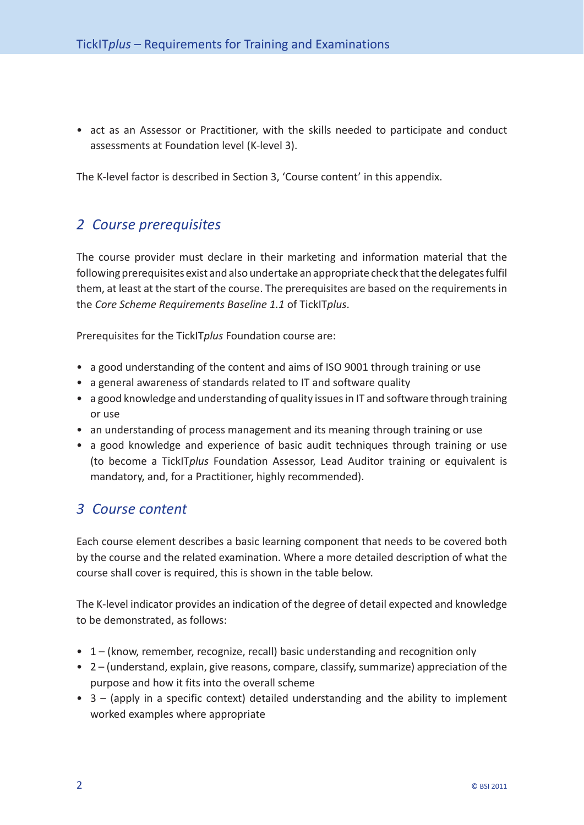• act as an Assessor or Practitioner, with the skills needed to participate and conduct assessments at Foundation level (K-level 3).

The K-level factor is described in Section 3, 'Course content' in this appendix.

## *2 Course prerequisites*

The course provider must declare in their marketing and information material that the following prerequisites exist and also undertake an appropriate check that the delegates fulfil them, at least at the start of the course. The prerequisites are based on the requirements in the *Core Scheme Requirements Baseline 1.1* of TickIT*plus*.

Prerequisites for the TickIT*plus* Foundation course are:

- a good understanding of the content and aims of ISO 9001 through training or use
- a general awareness of standards related to IT and software quality
- a good knowledge and understanding of quality issues in IT and software through training or use
- an understanding of process management and its meaning through training or use
- a good knowledge and experience of basic audit techniques through training or use (to become a TickIT*plus* Foundation Assessor, Lead Auditor training or equivalent is mandatory, and, for a Practitioner, highly recommended).

## *3 Course content*

Each course element describes a basic learning component that needs to be covered both by the course and the related examination. Where a more detailed description of what the course shall cover is required, this is shown in the table below.

The K-level indicator provides an indication of the degree of detail expected and knowledge to be demonstrated, as follows:

- 1 (know, remember, recognize, recall) basic understanding and recognition only
- 2 (understand, explain, give reasons, compare, classify, summarize) appreciation of the purpose and how it fits into the overall scheme
- 3 (apply in a specific context) detailed understanding and the ability to implement worked examples where appropriate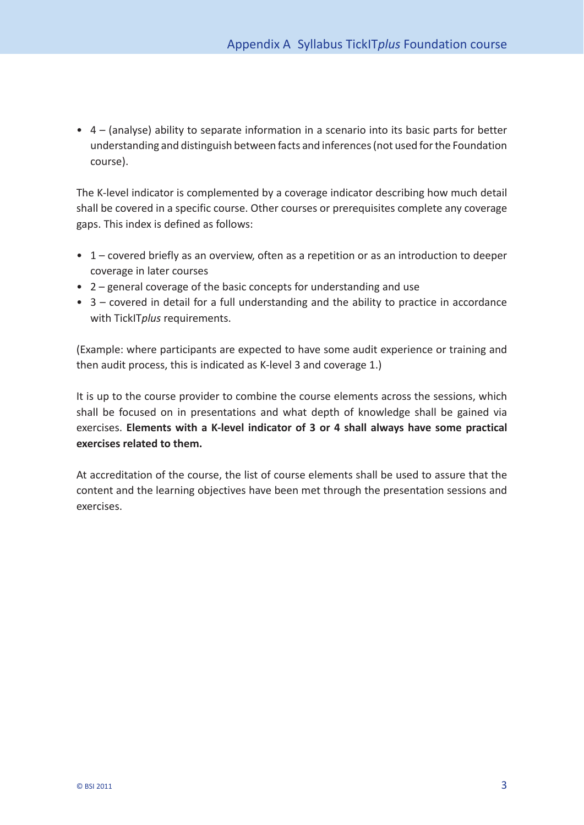• 4 – (analyse) ability to separate information in a scenario into its basic parts for better understanding and distinguish between facts and inferences (not used for the Foundation course).

The K-level indicator is complemented by a coverage indicator describing how much detail shall be covered in a specific course. Other courses or prerequisites complete any coverage gaps. This index is defined as follows:

- 1 covered briefly as an overview, often as a repetition or as an introduction to deeper coverage in later courses
- 2 general coverage of the basic concepts for understanding and use
- 3 covered in detail for a full understanding and the ability to practice in accordance with TickIT*plus* requirements.

(Example: where participants are expected to have some audit experience or training and then audit process, this is indicated as K-level 3 and coverage 1.)

It is up to the course provider to combine the course elements across the sessions, which shall be focused on in presentations and what depth of knowledge shall be gained via exercises. Elements with a K-level indicator of 3 or 4 shall always have some practical **exercises related to them.**

At accreditation of the course, the list of course elements shall be used to assure that the content and the learning objectives have been met through the presentation sessions and exercises.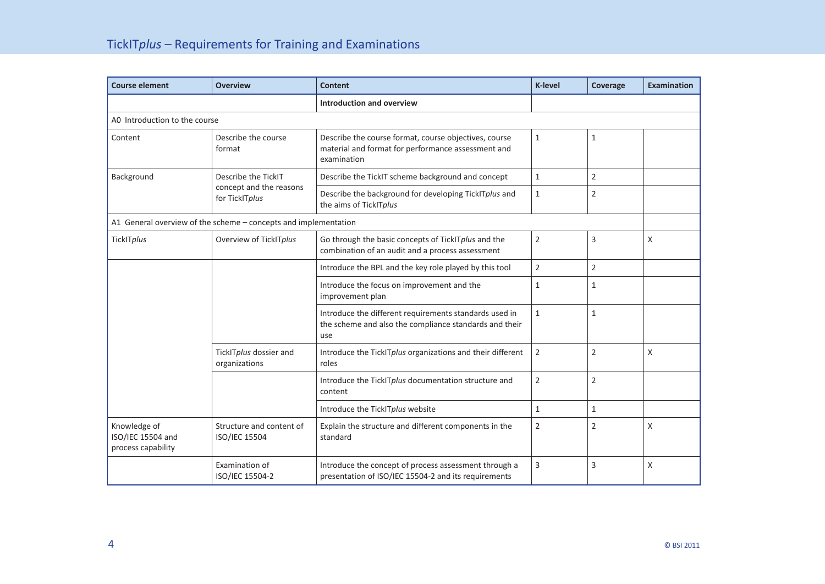| <b>Course element</b>                                   | <b>Overview</b>                                                  | <b>Content</b>                                                                                                             | <b>K-level</b> | Coverage       | <b>Examination</b> |
|---------------------------------------------------------|------------------------------------------------------------------|----------------------------------------------------------------------------------------------------------------------------|----------------|----------------|--------------------|
|                                                         |                                                                  | <b>Introduction and overview</b>                                                                                           |                |                |                    |
| AO Introduction to the course                           |                                                                  |                                                                                                                            |                |                |                    |
| Content                                                 | Describe the course<br>format                                    | Describe the course format, course objectives, course<br>material and format for performance assessment and<br>examination | $\mathbf{1}$   | $\mathbf{1}$   |                    |
| Background                                              | Describe the TickIT<br>concept and the reasons<br>for TickITplus | Describe the TickIT scheme background and concept                                                                          | $\mathbf{1}$   | 2              |                    |
|                                                         |                                                                  | Describe the background for developing TickITplus and<br>the aims of TickITplus                                            | $\mathbf{1}$   | $\overline{2}$ |                    |
|                                                         | A1 General overview of the scheme - concepts and implementation  |                                                                                                                            |                |                |                    |
| TickITplus                                              | Overview of TickITplus                                           | Go through the basic concepts of TickITplus and the<br>combination of an audit and a process assessment                    | $\overline{2}$ | 3              | X                  |
|                                                         |                                                                  | Introduce the BPL and the key role played by this tool                                                                     | $\overline{2}$ | $\overline{2}$ |                    |
|                                                         |                                                                  | Introduce the focus on improvement and the<br>improvement plan                                                             | $\mathbf{1}$   | $\mathbf{1}$   |                    |
|                                                         |                                                                  | Introduce the different requirements standards used in<br>the scheme and also the compliance standards and their<br>use    | $\mathbf{1}$   | $\mathbf{1}$   |                    |
|                                                         | TickITplus dossier and<br>organizations                          | Introduce the TickITplus organizations and their different<br>roles                                                        | $\mathbf 2$    | $\overline{2}$ | X                  |
|                                                         |                                                                  | Introduce the TickITplus documentation structure and<br>content                                                            | $\overline{2}$ | $\overline{2}$ |                    |
|                                                         |                                                                  | Introduce the TickITplus website                                                                                           | $\mathbf{1}$   | $\mathbf{1}$   |                    |
| Knowledge of<br>ISO/IEC 15504 and<br>process capability | Structure and content of<br>ISO/IEC 15504                        | Explain the structure and different components in the<br>standard                                                          | $\overline{2}$ | $\overline{2}$ | X                  |
|                                                         | Examination of<br>ISO/IEC 15504-2                                | Introduce the concept of process assessment through a<br>presentation of ISO/IEC 15504-2 and its requirements              | $\overline{3}$ | 3              | Χ                  |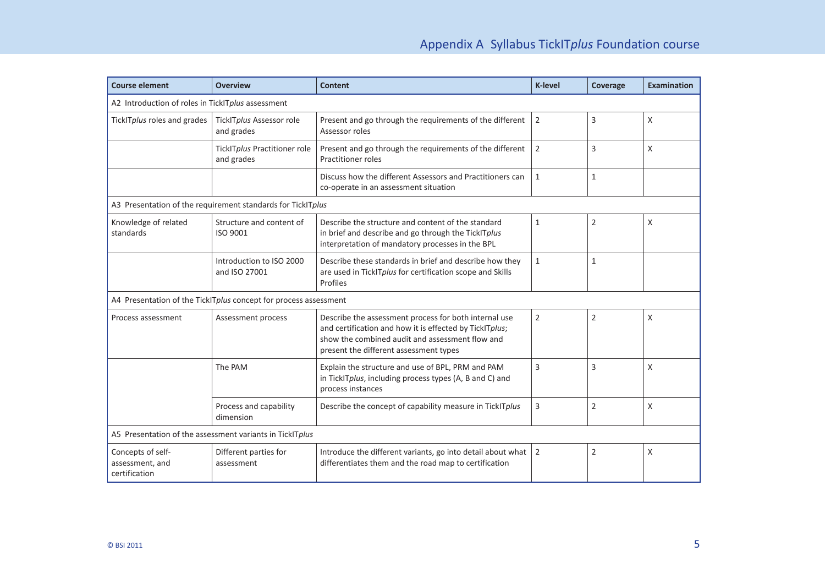| <b>Course element</b>                                            | <b>Overview</b>                                             | <b>Content</b>                                                                                                                                                                                                | <b>K-level</b> | Coverage       | <b>Examination</b> |  |
|------------------------------------------------------------------|-------------------------------------------------------------|---------------------------------------------------------------------------------------------------------------------------------------------------------------------------------------------------------------|----------------|----------------|--------------------|--|
| A2 Introduction of roles in TickITplus assessment                |                                                             |                                                                                                                                                                                                               |                |                |                    |  |
| TickITplus roles and grades                                      | TickITplus Assessor role<br>and grades                      | Present and go through the requirements of the different<br>Assessor roles                                                                                                                                    | $\overline{2}$ | 3              | X                  |  |
|                                                                  | TickITplus Practitioner role<br>and grades                  | Present and go through the requirements of the different<br><b>Practitioner roles</b>                                                                                                                         | $\overline{2}$ | $\overline{3}$ | X                  |  |
|                                                                  |                                                             | Discuss how the different Assessors and Practitioners can<br>co-operate in an assessment situation                                                                                                            | $\mathbf{1}$   | 1              |                    |  |
|                                                                  | A3 Presentation of the requirement standards for TickITplus |                                                                                                                                                                                                               |                |                |                    |  |
| Knowledge of related<br>standards                                | Structure and content of<br>ISO 9001                        | Describe the structure and content of the standard<br>in brief and describe and go through the TickITplus<br>interpretation of mandatory processes in the BPL                                                 | $\mathbf{1}$   | $\overline{2}$ | X                  |  |
|                                                                  | Introduction to ISO 2000<br>and ISO 27001                   | Describe these standards in brief and describe how they<br>are used in TickITplus for certification scope and Skills<br>Profiles                                                                              | $\mathbf{1}$   | $1\,$          |                    |  |
| A4 Presentation of the TickITplus concept for process assessment |                                                             |                                                                                                                                                                                                               |                |                |                    |  |
| Process assessment                                               | Assessment process                                          | Describe the assessment process for both internal use<br>and certification and how it is effected by TickITplus;<br>show the combined audit and assessment flow and<br>present the different assessment types | $\overline{2}$ | $\overline{2}$ | X                  |  |
|                                                                  | The PAM                                                     | Explain the structure and use of BPL, PRM and PAM<br>in TickITplus, including process types (A, B and C) and<br>process instances                                                                             | 3              | 3              | X                  |  |
|                                                                  | Process and capability<br>dimension                         | Describe the concept of capability measure in TickITplus                                                                                                                                                      | $\overline{3}$ | $\overline{2}$ | X                  |  |
| A5 Presentation of the assessment variants in TickITplus         |                                                             |                                                                                                                                                                                                               |                |                |                    |  |
| Concepts of self-<br>assessment, and<br>certification            | Different parties for<br>assessment                         | Introduce the different variants, go into detail about what<br>differentiates them and the road map to certification                                                                                          | $\overline{2}$ | $\overline{2}$ | Χ                  |  |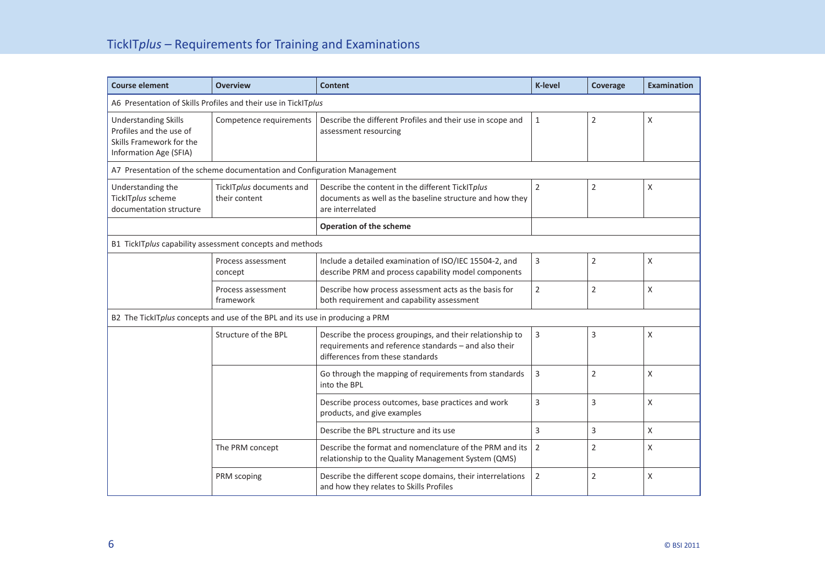| <b>Course element</b>                                                                                        | <b>Overview</b>                                          | <b>Content</b>                                                                                                                                         | <b>K-level</b> | <b>Coverage</b> | <b>Examination</b> |
|--------------------------------------------------------------------------------------------------------------|----------------------------------------------------------|--------------------------------------------------------------------------------------------------------------------------------------------------------|----------------|-----------------|--------------------|
| A6 Presentation of Skills Profiles and their use in TickITplus                                               |                                                          |                                                                                                                                                        |                |                 |                    |
| <b>Understanding Skills</b><br>Profiles and the use of<br>Skills Framework for the<br>Information Age (SFIA) | Competence requirements                                  | Describe the different Profiles and their use in scope and<br>assessment resourcing                                                                    | 1              | $\overline{2}$  | X                  |
| A7 Presentation of the scheme documentation and Configuration Management                                     |                                                          |                                                                                                                                                        |                |                 |                    |
| Understanding the<br>TickITplus scheme<br>documentation structure                                            | TickITplus documents and<br>their content                | Describe the content in the different TickITplus<br>documents as well as the baseline structure and how they<br>are interrelated                       | $\overline{2}$ | $\overline{2}$  | X                  |
|                                                                                                              |                                                          | <b>Operation of the scheme</b>                                                                                                                         |                |                 |                    |
|                                                                                                              | B1 TickITplus capability assessment concepts and methods |                                                                                                                                                        |                |                 |                    |
|                                                                                                              | Process assessment<br>concept                            | Include a detailed examination of ISO/IEC 15504-2, and<br>describe PRM and process capability model components                                         | 3              | $\overline{2}$  | X                  |
|                                                                                                              | Process assessment<br>framework                          | Describe how process assessment acts as the basis for<br>both requirement and capability assessment                                                    | $\overline{2}$ | $\overline{2}$  | Χ                  |
| B2 The TickITplus concepts and use of the BPL and its use in producing a PRM                                 |                                                          |                                                                                                                                                        |                |                 |                    |
|                                                                                                              | Structure of the BPL                                     | Describe the process groupings, and their relationship to<br>requirements and reference standards - and also their<br>differences from these standards | 3              | 3               | X                  |
|                                                                                                              |                                                          | Go through the mapping of requirements from standards<br>into the BPL                                                                                  | 3              | $\overline{2}$  | X                  |
|                                                                                                              |                                                          | Describe process outcomes, base practices and work<br>products, and give examples                                                                      | 3              | 3               | X                  |
|                                                                                                              |                                                          | Describe the BPL structure and its use                                                                                                                 | 3              | 3               | X                  |
|                                                                                                              | The PRM concept                                          | Describe the format and nomenclature of the PRM and its<br>relationship to the Quality Management System (QMS)                                         | 2              | $\overline{2}$  | X                  |
|                                                                                                              | PRM scoping                                              | Describe the different scope domains, their interrelations<br>and how they relates to Skills Profiles                                                  | 2              | $\overline{2}$  | X                  |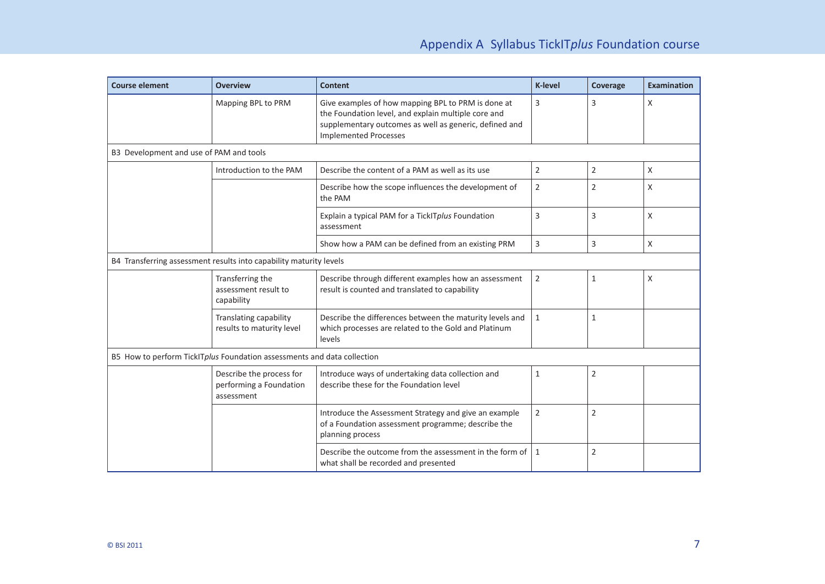| <b>Course element</b>                                                   | <b>Overview</b>                                                   | <b>Content</b>                                                                                                                                                                                      | <b>K-level</b> | Coverage       | <b>Examination</b> |  |
|-------------------------------------------------------------------------|-------------------------------------------------------------------|-----------------------------------------------------------------------------------------------------------------------------------------------------------------------------------------------------|----------------|----------------|--------------------|--|
|                                                                         | Mapping BPL to PRM                                                | Give examples of how mapping BPL to PRM is done at<br>the Foundation level, and explain multiple core and<br>supplementary outcomes as well as generic, defined and<br><b>Implemented Processes</b> | 3              | 3              | X                  |  |
| B3 Development and use of PAM and tools                                 |                                                                   |                                                                                                                                                                                                     |                |                |                    |  |
|                                                                         | Introduction to the PAM                                           | Describe the content of a PAM as well as its use                                                                                                                                                    | $\overline{2}$ | 2              | X                  |  |
|                                                                         |                                                                   | Describe how the scope influences the development of<br>the PAM                                                                                                                                     | 2              | $\overline{2}$ | X                  |  |
|                                                                         |                                                                   | Explain a typical PAM for a TickITplus Foundation<br>assessment                                                                                                                                     | $\mathsf 3$    | $\overline{3}$ | X                  |  |
|                                                                         |                                                                   | Show how a PAM can be defined from an existing PRM                                                                                                                                                  | $\mathsf 3$    | $\mathsf 3$    | X                  |  |
| B4 Transferring assessment results into capability maturity levels      |                                                                   |                                                                                                                                                                                                     |                |                |                    |  |
|                                                                         | Transferring the<br>assessment result to<br>capability            | Describe through different examples how an assessment<br>result is counted and translated to capability                                                                                             | $\overline{2}$ | $\mathbf{1}$   | X                  |  |
|                                                                         | Translating capability<br>results to maturity level               | Describe the differences between the maturity levels and<br>which processes are related to the Gold and Platinum<br>levels                                                                          | $\mathbf{1}$   | $\mathbf{1}$   |                    |  |
| B5 How to perform TickITplus Foundation assessments and data collection |                                                                   |                                                                                                                                                                                                     |                |                |                    |  |
|                                                                         | Describe the process for<br>performing a Foundation<br>assessment | Introduce ways of undertaking data collection and<br>describe these for the Foundation level                                                                                                        | 1              | $\overline{2}$ |                    |  |
|                                                                         |                                                                   | Introduce the Assessment Strategy and give an example<br>of a Foundation assessment programme; describe the<br>planning process                                                                     | $\overline{2}$ | $\overline{2}$ |                    |  |
|                                                                         |                                                                   | Describe the outcome from the assessment in the form of<br>what shall be recorded and presented                                                                                                     | $\mathbf{1}$   | $\overline{2}$ |                    |  |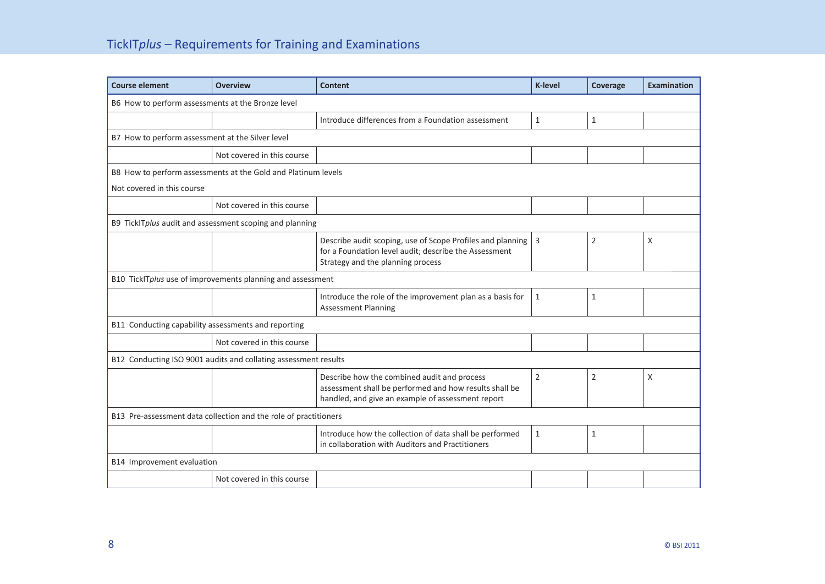| <b>Course element</b>                                            | <b>Overview</b>                                               | <b>Content</b>                                                                                                                                             | <b>K-level</b> | Coverage       | <b>Examination</b> |
|------------------------------------------------------------------|---------------------------------------------------------------|------------------------------------------------------------------------------------------------------------------------------------------------------------|----------------|----------------|--------------------|
| B6 How to perform assessments at the Bronze level                |                                                               |                                                                                                                                                            |                |                |                    |
|                                                                  |                                                               | Introduce differences from a Foundation assessment                                                                                                         | $\mathbf{1}$   | $\mathbf{1}$   |                    |
| B7 How to perform assessment at the Silver level                 |                                                               |                                                                                                                                                            |                |                |                    |
|                                                                  | Not covered in this course                                    |                                                                                                                                                            |                |                |                    |
|                                                                  | B8 How to perform assessments at the Gold and Platinum levels |                                                                                                                                                            |                |                |                    |
| Not covered in this course                                       |                                                               |                                                                                                                                                            |                |                |                    |
|                                                                  | Not covered in this course                                    |                                                                                                                                                            |                |                |                    |
|                                                                  | B9 TickITplus audit and assessment scoping and planning       |                                                                                                                                                            |                |                |                    |
|                                                                  |                                                               | Describe audit scoping, use of Scope Profiles and planning<br>for a Foundation level audit; describe the Assessment<br>Strategy and the planning process   | $\overline{3}$ | 2              | X                  |
| B10 TickITplus use of improvements planning and assessment       |                                                               |                                                                                                                                                            |                |                |                    |
|                                                                  |                                                               | Introduce the role of the improvement plan as a basis for<br><b>Assessment Planning</b>                                                                    | $\mathbf{1}$   | 1              |                    |
| B11 Conducting capability assessments and reporting              |                                                               |                                                                                                                                                            |                |                |                    |
|                                                                  | Not covered in this course                                    |                                                                                                                                                            |                |                |                    |
| B12 Conducting ISO 9001 audits and collating assessment results  |                                                               |                                                                                                                                                            |                |                |                    |
|                                                                  |                                                               | Describe how the combined audit and process<br>assessment shall be performed and how results shall be<br>handled, and give an example of assessment report | $\overline{2}$ | $\overline{2}$ | $\mathsf{X}$       |
| B13 Pre-assessment data collection and the role of practitioners |                                                               |                                                                                                                                                            |                |                |                    |
|                                                                  |                                                               | Introduce how the collection of data shall be performed<br>in collaboration with Auditors and Practitioners                                                | $\mathbf{1}$   | $\mathbf{1}$   |                    |
| B14 Improvement evaluation                                       |                                                               |                                                                                                                                                            |                |                |                    |
|                                                                  | Not covered in this course                                    |                                                                                                                                                            |                |                |                    |